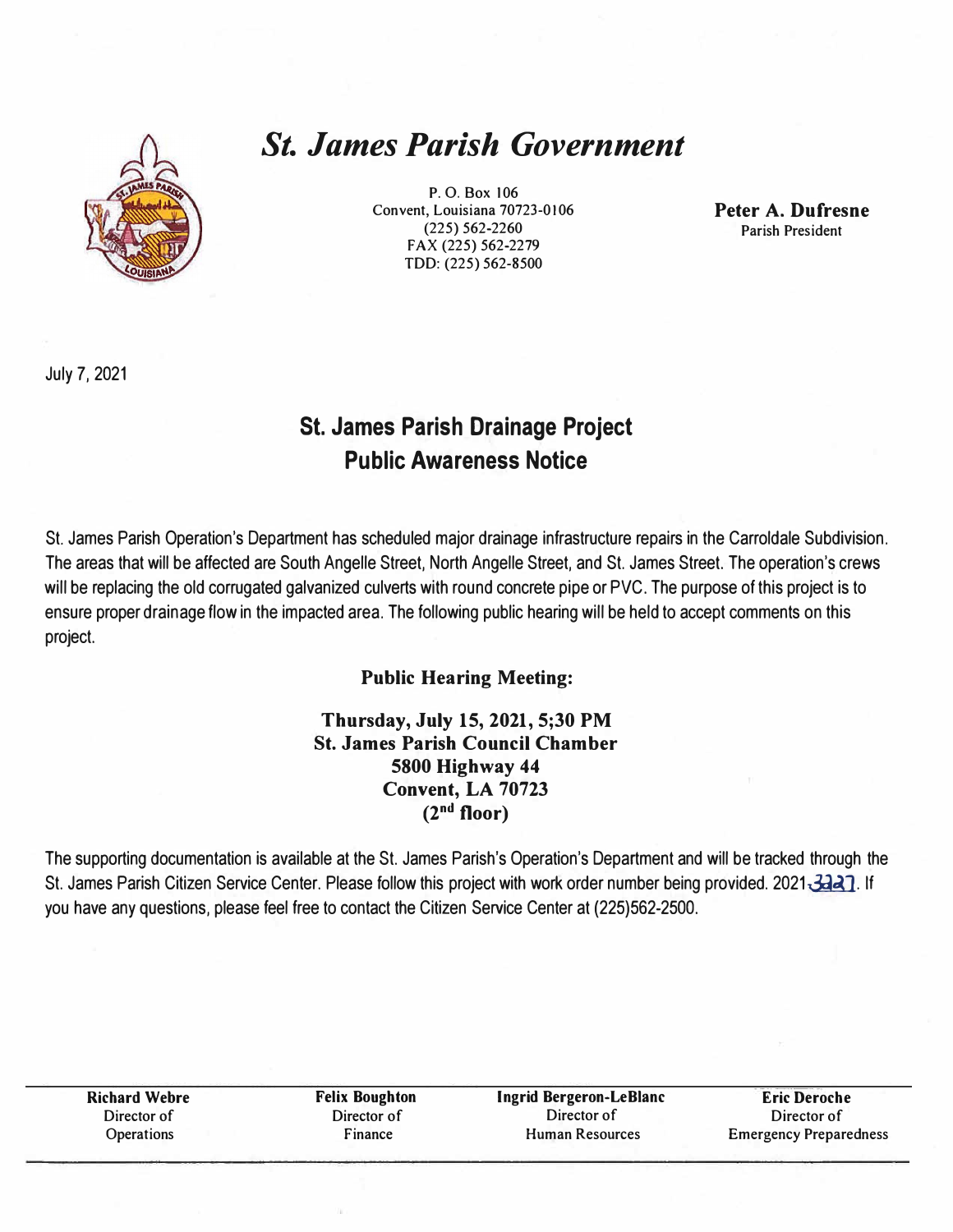

# *St. James Parish Government*

P. 0. Box 106 Convent, Louisiana 70723-0106 (225) 562-2260 **FAX** (225) 562-2279 TDD: (225) 562-8500

**Peter A. Dufresne**  Parish President

July 7, 2021

## **St. James Parish Drainage Project Public Awareness Notice**

St. James Parish Operation's Department has scheduled major drainage infrastructure repairs in the Carroldale Subdivision. The areas that will be affected are South Angelle Street, North Angelle Street, and St. James Street. The operation's crews will be replacing the old corrugated galvanized culverts with round concrete pipe or PVC. The purpose of this project is to ensure proper drainage flow in the impacted area. The following public hearing will be held to accept comments on this project.

## **Public Hearing Meeting:**

## **Thursday, July 15, 2021, 5;30 PM St. James Parish Council Chamber 5800 Highway 44 Convent, LA 70723 (2nd floor)**

The supporting documentation is available at the St. James Parish's Operation's Department and will be tracked through the St. James Parish Citizen Service Center. Please follow this project with work order number being provided. 2021 3227. If you have any questions, please feel free to contact the Citizen Service Center at (225)562-2500.

| <b>Richard Webre</b> | <b>Felix Boughton</b> | <b>Ingrid Bergeron-LeBlanc</b> | <b>Eric Deroche</b>           |
|----------------------|-----------------------|--------------------------------|-------------------------------|
| Director of          | Director of           | Director of                    | Director of                   |
| Operations           | $r_{inance}$          | Human Resources                | <b>Emergency Preparedness</b> |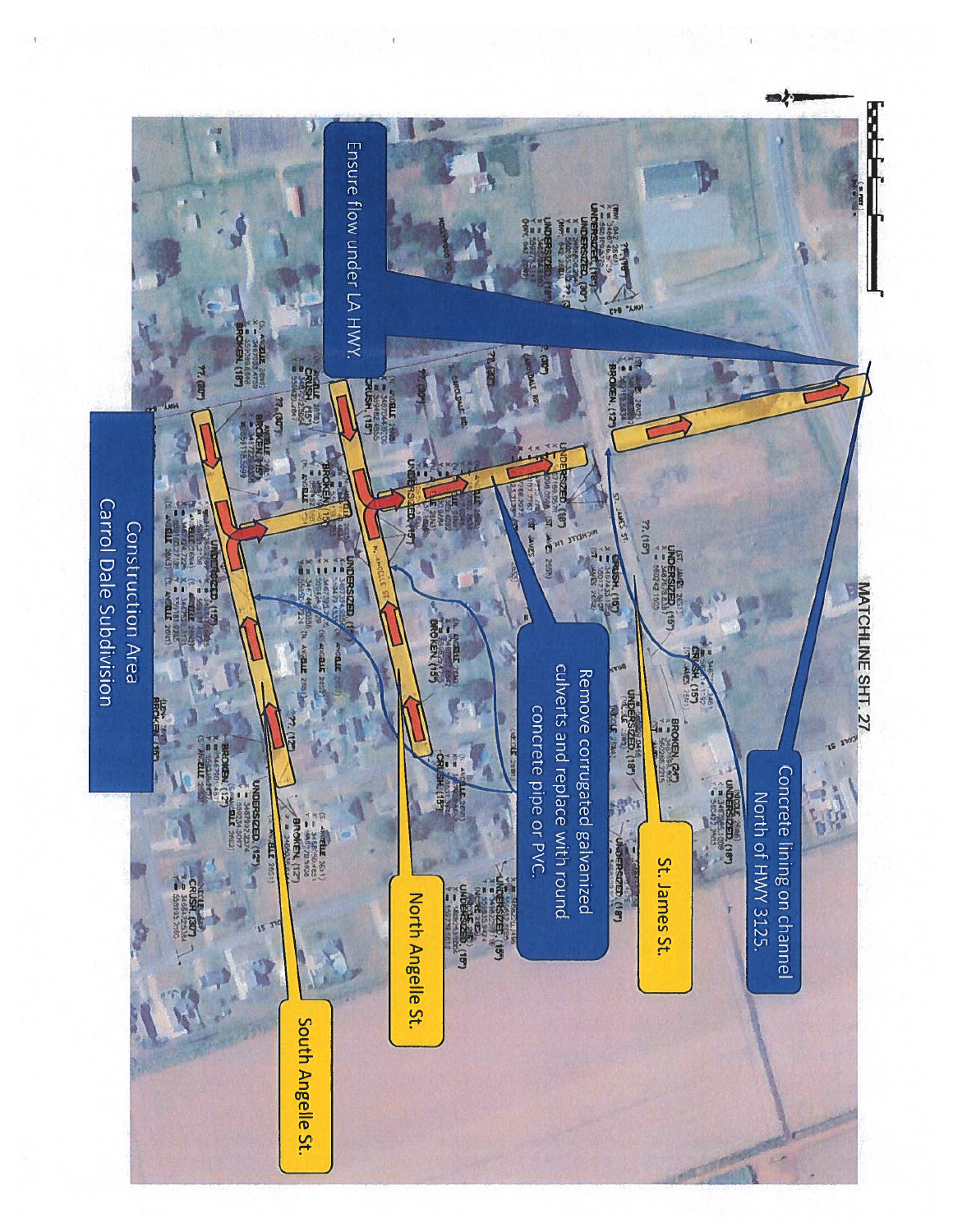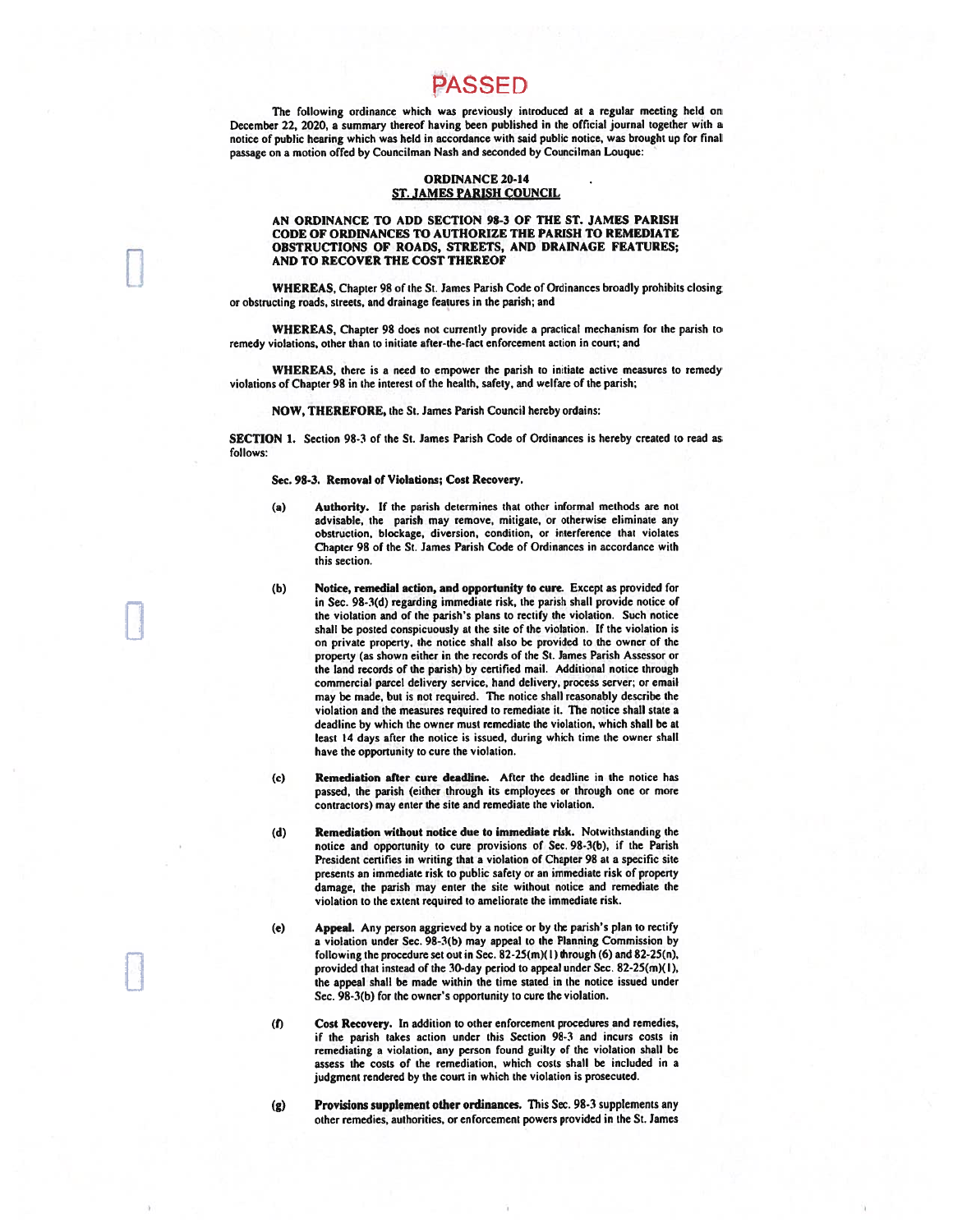## PASSED

The following ordinance which was previously introduced at a regular meeting held on December 22, 2020, a summary thereof having been published in the official journal together with a notice of public hearing which was held in accordance with said public notice, was brought up for final passage on a motion offed by Councilman Nash and seconded by Councilman Louque:

#### **ORDINANCE 20-14 ST. JAMES PARISH COUNCIL**

#### AN ORDINANCE TO ADD SECTION 98-3 OF THE ST. JAMES PARISH CODE OF ORDINANCES TO AUTHORIZE THE PARISH TO REMEDIATE OBSTRUCTIONS OF ROADS, STREETS, AND DRAINAGE FEATURES; AND TO RECOVER THE COST THEREOF

WHEREAS, Chapter 98 of the St. James Parish Code of Ordinances broadly prohibits closing or obstructing roads, streets, and drainage features in the parish; and

WHEREAS. Chapter 98 does not currently provide a practical mechanism for the parish to remedy violations, other than to initiate after-the-fact enforcement action in court; and

WHEREAS, there is a need to empower the parish to initiate active measures to remedy violations of Chapter 98 in the interest of the health, safety, and welfare of the parish;

#### NOW, THEREFORE, the St. James Parish Council hereby ordains:

SECTION 1. Section 98-3 of the St. James Parish Code of Ordinances is hereby created to read as follows:

#### Sec. 98-3. Removal of Violations; Cost Recovery.

- Authority. If the parish determines that other informal methods are not  $(a)$ advisable, the parish may remove, mitigate, or otherwise eliminate any obstruction, blockage, diversion, condition, or interference that violates Chapter 98 of the St. James Parish Code of Ordinances in accordance with this section.
- $(b)$ Notice, remedial action, and opportunity to cure. Except as provided for in Sec. 98-3(d) regarding immediate risk, the parish shall provide notice of the violation and of the parish's plans to rectify the violation. Such notice shall be posted conspicuously at the site of the violation. If the violation is on private property, the notice shall also be provided to the owner of the property (as shown either in the records of the St. James Parish Assessor or the land records of the parish) by certified mail. Additional notice through commercial parcel delivery service, hand delivery, process server; or email may be made, but is not required. The notice shall reasonably describe the violation and the measures required to remediate it. The notice shall state a deadline by which the owner must remediate the violation, which shall be at least 14 days after the notice is issued, during which time the owner shall have the opportunity to cure the violation.
- Remediation after cure deadline. After the deadline in the notice has  $(c)$ passed, the parish (either through its employees or through one or more contractors) may enter the site and remediate the violation.
- Remediation without notice due to immediate risk. Notwithstanding the  $(d)$ notice and opportunity to cure provisions of Sec. 98-3(b), if the Parish President certifies in writing that a violation of Chapter 98 at a specific site presents an immediate risk to public safety or an immediate risk of property damage, the parish may enter the site without notice and remediate the violation to the extent required to ameliorate the immediate risk.
- Appeal. Any person aggrieved by a notice or by the parish's plan to rectify  $(e)$ a violation under Sec. 98-3(b) may appeal to the Planning Commission by following the procedure set out in Sec. 82-25(m)(1) through (6) and 82-25(n), provided that instead of the 30-day period to appeal under Sec. 82-25(m)(1), the appeal shall be made within the time stated in the notice issued under Sec. 98-3(b) for the owner's opportunity to cure the violation.
- Cost Recovery. In addition to other enforcement procedures and remedies,  $(1)$ if the parish takes action under this Section 98-3 and incurs costs in remediating a violation, any person found guilty of the violation shall be assess the costs of the remediation, which costs shall be included in a judgment rendered by the court in which the violation is prosecuted.
- Provisions supplement other ordinances. This Sec. 98-3 supplements any  $(g)$ other remedies, authorities, or enforcement powers provided in the St. James